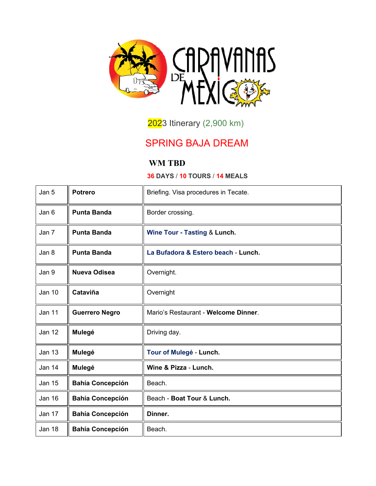

2023 Itinerary (2,900 km)

## SPRING BAJA DREAM

## **WM TBD**

## **36 DAYS** / **10 TOURS** / **14 MEALS**

| Jan 5         | <b>Potrero</b>          | Briefing. Visa procedures in Tecate. |
|---------------|-------------------------|--------------------------------------|
| Jan 6         | <b>Punta Banda</b>      | Border crossing.                     |
| Jan 7         | <b>Punta Banda</b>      | Wine Tour - Tasting & Lunch.         |
| Jan 8         | <b>Punta Banda</b>      | La Bufadora & Estero beach - Lunch.  |
| Jan 9         | <b>Nueva Odisea</b>     | Overnight.                           |
| <b>Jan 10</b> | Cataviña                | Overnight                            |
| <b>Jan 11</b> | <b>Guerrero Negro</b>   | Mario's Restaurant - Welcome Dinner. |
| <b>Jan 12</b> | Mulegé                  | Driving day.                         |
| <b>Jan 13</b> | Mulegé                  | Tour of Mulegé - Lunch.              |
| Jan 14        | Mulegé                  | Wine & Pizza - Lunch.                |
| <b>Jan 15</b> | <b>Bahía Concepción</b> | Beach.                               |
| <b>Jan 16</b> | <b>Bahía Concepción</b> | Beach - Boat Tour & Lunch.           |
| Jan 17        | <b>Bahía Concepción</b> | Dinner.                              |
| Jan 18        | <b>Bahía Concepción</b> | Beach.                               |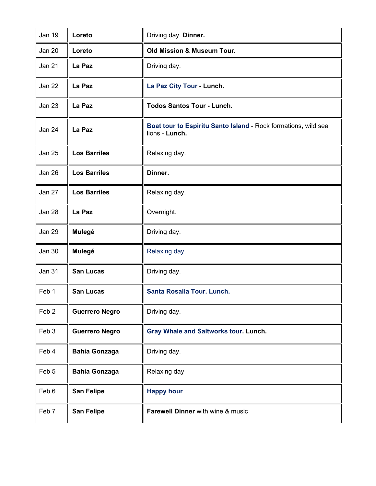| <b>Jan 19</b>    | Loreto                | Driving day. Dinner.                                                             |
|------------------|-----------------------|----------------------------------------------------------------------------------|
| Jan 20           | Loreto                | Old Mission & Museum Tour.                                                       |
| <b>Jan 21</b>    | La Paz                | Driving day.                                                                     |
| <b>Jan 22</b>    | La Paz                | La Paz City Tour - Lunch.                                                        |
| <b>Jan 23</b>    | La Paz                | <b>Todos Santos Tour - Lunch.</b>                                                |
| Jan 24           | La Paz                | Boat tour to Espiritu Santo Island - Rock formations, wild sea<br>lions - Lunch. |
| <b>Jan 25</b>    | <b>Los Barriles</b>   | Relaxing day.                                                                    |
| Jan 26           | <b>Los Barriles</b>   | Dinner.                                                                          |
| Jan 27           | <b>Los Barriles</b>   | Relaxing day.                                                                    |
| Jan 28           | La Paz                | Overnight.                                                                       |
| Jan 29           | Mulegé                | Driving day.                                                                     |
| <b>Jan 30</b>    | Mulegé                | Relaxing day.                                                                    |
| <b>Jan 31</b>    | <b>San Lucas</b>      | Driving day.                                                                     |
| Feb 1            | <b>San Lucas</b>      | Santa Rosalía Tour. Lunch.                                                       |
| Feb <sub>2</sub> | <b>Guerrero Negro</b> | Driving day.                                                                     |
| Feb 3            | <b>Guerrero Negro</b> | Gray Whale and Saltworks tour. Lunch.                                            |
| Feb 4            | <b>Bahía Gonzaga</b>  | Driving day.                                                                     |
| Feb <sub>5</sub> | <b>Bahía Gonzaga</b>  | Relaxing day                                                                     |
| Feb 6            | <b>San Felipe</b>     | <b>Happy hour</b>                                                                |
| Feb 7            | <b>San Felipe</b>     | <b>Farewell Dinner</b> with wine & music                                         |